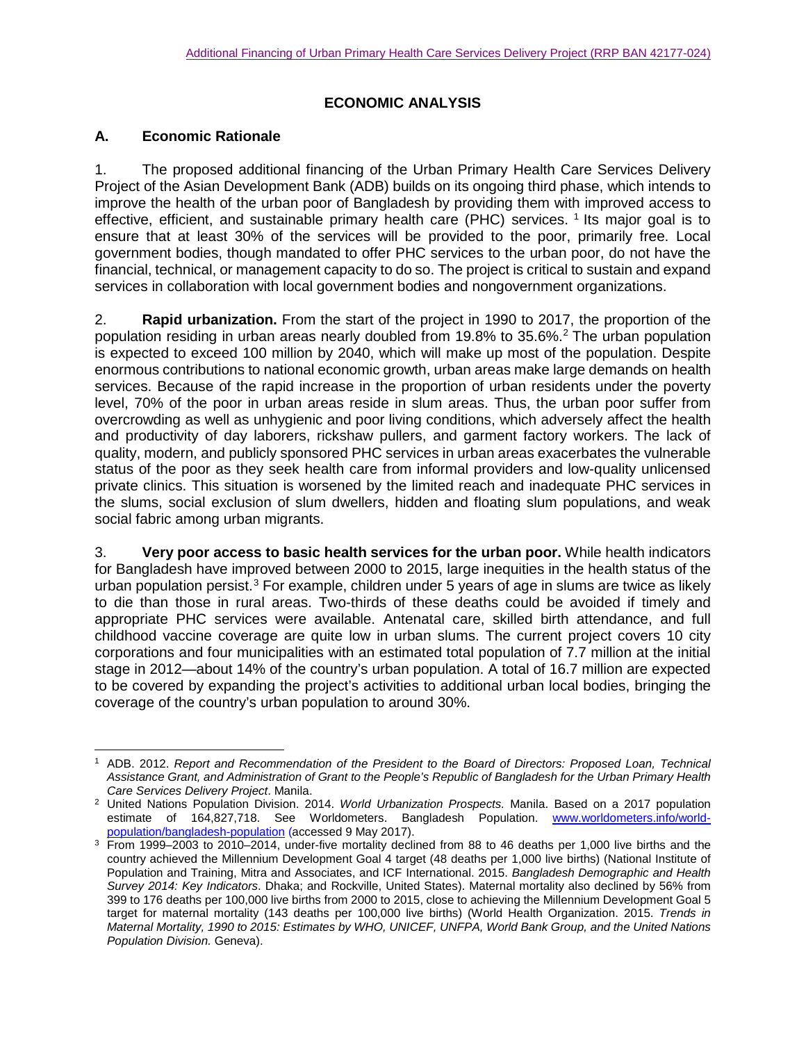### **ECONOMIC ANALYSIS**

### **A. Economic Rationale**

1. The proposed additional financing of the Urban Primary Health Care Services Delivery Project of the Asian Development Bank (ADB) builds on its ongoing third phase, which intends to improve the health of the urban poor of Bangladesh by providing them with improved access to effective, efficient, and sustainable primary health care (PHC) services. [1](#page-0-0) Its major goal is to ensure that at least 30% of the services will be provided to the poor, primarily free. Local government bodies, though mandated to offer PHC services to the urban poor, do not have the financial, technical, or management capacity to do so. The project is critical to sustain and expand services in collaboration with local government bodies and nongovernment organizations.

2. **Rapid urbanization.** From the start of the project in 1990 to 2017, the proportion of the population residing in urban areas nearly doubled from 19.8% to 35.6% $<sup>2</sup>$  $<sup>2</sup>$  $<sup>2</sup>$  The urban population</sup> is expected to exceed 100 million by 2040, which will make up most of the population. Despite enormous contributions to national economic growth, urban areas make large demands on health services. Because of the rapid increase in the proportion of urban residents under the poverty level, 70% of the poor in urban areas reside in slum areas. Thus, the urban poor suffer from overcrowding as well as unhygienic and poor living conditions, which adversely affect the health and productivity of day laborers, rickshaw pullers, and garment factory workers. The lack of quality, modern, and publicly sponsored PHC services in urban areas exacerbates the vulnerable status of the poor as they seek health care from informal providers and low-quality unlicensed private clinics. This situation is worsened by the limited reach and inadequate PHC services in the slums, social exclusion of slum dwellers, hidden and floating slum populations, and weak social fabric among urban migrants.

3. **Very poor access to basic health services for the urban poor.** While health indicators for Bangladesh have improved between 2000 to 2015, large inequities in the health status of the urban population persist.<sup>[3](#page-0-2)</sup> For example, children under 5 years of age in slums are twice as likely to die than those in rural areas. Two-thirds of these deaths could be avoided if timely and appropriate PHC services were available. Antenatal care, skilled birth attendance, and full childhood vaccine coverage are quite low in urban slums. The current project covers 10 city corporations and four municipalities with an estimated total population of 7.7 million at the initial stage in 2012—about 14% of the country's urban population. A total of 16.7 million are expected to be covered by expanding the project's activities to additional urban local bodies, bringing the coverage of the country's urban population to around 30%.

<span id="page-0-0"></span> <sup>1</sup> ADB. 2012. *Report and Recommendation of the President to the Board of Directors: Proposed Loan, Technical Assistance Grant, and Administration of Grant to the People's Republic of Bangladesh for the Urban Primary Health Care Services Delivery Project*. Manila.

<span id="page-0-1"></span><sup>2</sup> United Nations Population Division. 2014. *World Urbanization Prospects.* Manila. Based on a 2017 population estimate of 164,827,718. See Worldometers. Bangladesh Population. [www.worldometers.info/world](http://www.worldometers.info/world-population/bangladesh-population)[population/bangladesh-population](http://www.worldometers.info/world-population/bangladesh-population) (accessed 9 May 2017).

<span id="page-0-2"></span><sup>3</sup> From 1999–2003 to 2010–2014, under-five mortality declined from 88 to 46 deaths per 1,000 live births and the country achieved the Millennium Development Goal 4 target (48 deaths per 1,000 live births) (National Institute of Population and Training, Mitra and Associates, and ICF International. 2015. *Bangladesh Demographic and Health Survey 2014: Key Indicators*. Dhaka; and Rockville, United States). Maternal mortality also declined by 56% from 399 to 176 deaths per 100,000 live births from 2000 to 2015, close to achieving the Millennium Development Goal 5 target for maternal mortality (143 deaths per 100,000 live births) (World Health Organization. 2015. *Trends in Maternal Mortality, 1990 to 2015: Estimates by WHO, UNICEF, UNFPA, World Bank Group, and the United Nations Population Division.* Geneva).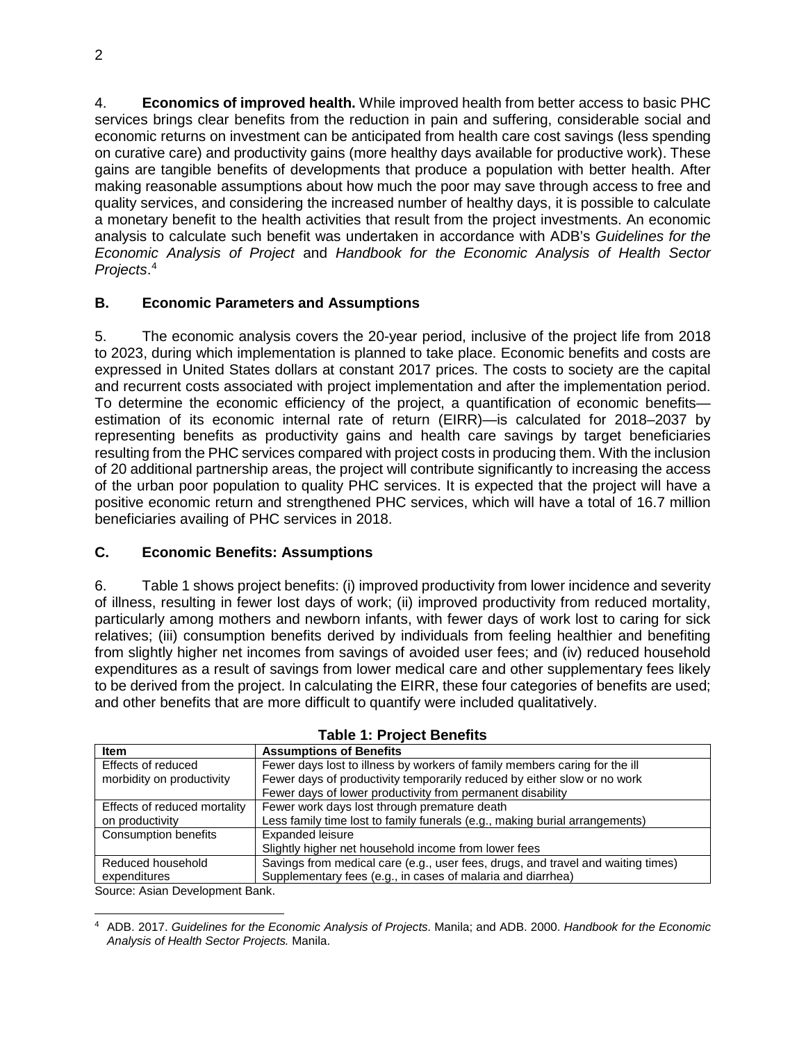4. **Economics of improved health.** While improved health from better access to basic PHC services brings clear benefits from the reduction in pain and suffering, considerable social and economic returns on investment can be anticipated from health care cost savings (less spending on curative care) and productivity gains (more healthy days available for productive work). These gains are tangible benefits of developments that produce a population with better health. After making reasonable assumptions about how much the poor may save through access to free and quality services, and considering the increased number of healthy days, it is possible to calculate a monetary benefit to the health activities that result from the project investments. An economic analysis to calculate such benefit was undertaken in accordance with ADB's *Guidelines for the Economic Analysis of Project* and *Handbook for the Economic Analysis of Health Sector Projects*. [4](#page-1-0)

# **B. Economic Parameters and Assumptions**

5. The economic analysis covers the 20-year period, inclusive of the project life from 2018 to 2023, during which implementation is planned to take place. Economic benefits and costs are expressed in United States dollars at constant 2017 prices. The costs to society are the capital and recurrent costs associated with project implementation and after the implementation period. To determine the economic efficiency of the project, a quantification of economic benefits estimation of its economic internal rate of return (EIRR)—is calculated for 2018–2037 by representing benefits as productivity gains and health care savings by target beneficiaries resulting from the PHC services compared with project costs in producing them. With the inclusion of 20 additional partnership areas, the project will contribute significantly to increasing the access of the urban poor population to quality PHC services. It is expected that the project will have a positive economic return and strengthened PHC services, which will have a total of 16.7 million beneficiaries availing of PHC services in 2018.

# **C. Economic Benefits: Assumptions**

6. Table 1 shows project benefits: (i) improved productivity from lower incidence and severity of illness, resulting in fewer lost days of work; (ii) improved productivity from reduced mortality, particularly among mothers and newborn infants, with fewer days of work lost to caring for sick relatives; (iii) consumption benefits derived by individuals from feeling healthier and benefiting from slightly higher net incomes from savings of avoided user fees; and (iv) reduced household expenditures as a result of savings from lower medical care and other supplementary fees likely to be derived from the project. In calculating the EIRR, these four categories of benefits are used; and other benefits that are more difficult to quantify were included qualitatively.

| $14010$ $1.10000$ $101010$   |                                                                                  |  |  |  |  |  |  |
|------------------------------|----------------------------------------------------------------------------------|--|--|--|--|--|--|
| <b>Item</b>                  | <b>Assumptions of Benefits</b>                                                   |  |  |  |  |  |  |
| Effects of reduced           | Fewer days lost to illness by workers of family members caring for the ill       |  |  |  |  |  |  |
| morbidity on productivity    | Fewer days of productivity temporarily reduced by either slow or no work         |  |  |  |  |  |  |
|                              | Fewer days of lower productivity from permanent disability                       |  |  |  |  |  |  |
| Effects of reduced mortality | Fewer work days lost through premature death                                     |  |  |  |  |  |  |
| on productivity              | Less family time lost to family funerals (e.g., making burial arrangements)      |  |  |  |  |  |  |
| <b>Consumption benefits</b>  | Expanded leisure                                                                 |  |  |  |  |  |  |
|                              | Slightly higher net household income from lower fees                             |  |  |  |  |  |  |
| Reduced household            | Savings from medical care (e.g., user fees, drugs, and travel and waiting times) |  |  |  |  |  |  |
| expenditures                 | Supplementary fees (e.g., in cases of malaria and diarrhea)                      |  |  |  |  |  |  |

**Table 1: Project Benefits** 

Source: Asian Development Bank.

<span id="page-1-0"></span> <sup>4</sup> ADB. 2017. *Guidelines for the Economic Analysis of Projects*. Manila; and ADB. 2000. *Handbook for the Economic Analysis of Health Sector Projects.* Manila.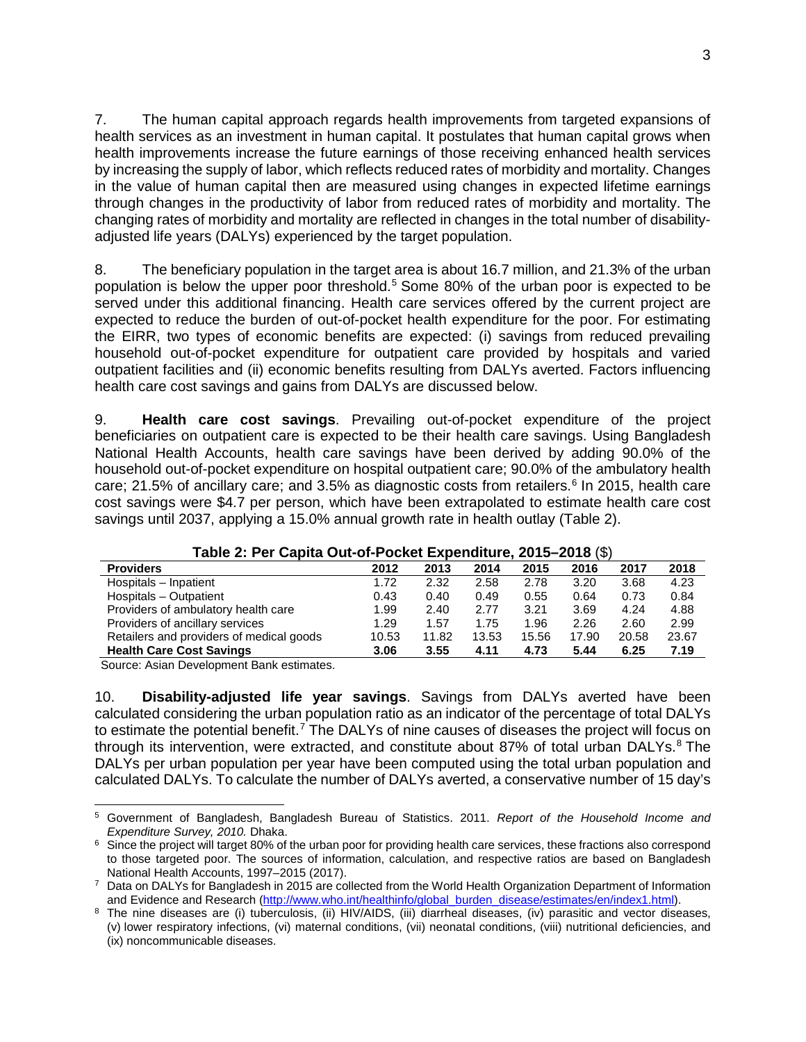7. The human capital approach regards health improvements from targeted expansions of health services as an investment in human capital. It postulates that human capital grows when health improvements increase the future earnings of those receiving enhanced health services by increasing the supply of labor, which reflects reduced rates of morbidity and mortality. Changes in the value of human capital then are measured using changes in expected lifetime earnings through changes in the productivity of labor from reduced rates of morbidity and mortality. The changing rates of morbidity and mortality are reflected in changes in the total number of disabilityadjusted life years (DALYs) experienced by the target population.

8. The beneficiary population in the target area is about 16.7 million, and 21.3% of the urban population is below the upper poor threshold.<sup>[5](#page-2-0)</sup> Some 80% of the urban poor is expected to be served under this additional financing. Health care services offered by the current project are expected to reduce the burden of out-of-pocket health expenditure for the poor. For estimating the EIRR, two types of economic benefits are expected: (i) savings from reduced prevailing household out-of-pocket expenditure for outpatient care provided by hospitals and varied outpatient facilities and (ii) economic benefits resulting from DALYs averted. Factors influencing health care cost savings and gains from DALYs are discussed below.

9. **Health care cost savings**. Prevailing out-of-pocket expenditure of the project beneficiaries on outpatient care is expected to be their health care savings. Using Bangladesh National Health Accounts, health care savings have been derived by adding 90.0% of the household out-of-pocket expenditure on hospital outpatient care; 90.0% of the ambulatory health care; 21.5% of ancillary care; and 3.5% as diagnostic costs from retailers. [6](#page-2-1) In 2015, health care cost savings were \$4.7 per person, which have been extrapolated to estimate health care cost savings until 2037, applying a 15.0% annual growth rate in health outlay (Table 2).

| Table 2. Fet Capita Out-OFT OCKER EXPERIMENTE, 2019–2010 (1) |       |       |       |       |       |       |       |  |
|--------------------------------------------------------------|-------|-------|-------|-------|-------|-------|-------|--|
| <b>Providers</b>                                             | 2012  | 2013  | 2014  | 2015  | 2016  | 2017  | 2018  |  |
| Hospitals - Inpatient                                        | 1.72  | 2.32  | 2.58  | 2.78  | 3.20  | 3.68  | 4.23  |  |
| Hospitals - Outpatient                                       | 0.43  | 0.40  | 0.49  | 0.55  | 0.64  | 0.73  | 0.84  |  |
| Providers of ambulatory health care                          | 1.99  | 2.40  | 2.77  | 3.21  | 3.69  | 4.24  | 4.88  |  |
| Providers of ancillary services                              | 1.29  | 1.57  | 1.75  | 1.96  | 2.26  | 2.60  | 2.99  |  |
| Retailers and providers of medical goods                     | 10.53 | 11.82 | 13.53 | 15.56 | 17.90 | 20.58 | 23.67 |  |
| <b>Health Care Cost Savings</b>                              | 3.06  | 3.55  | 4.11  | 4.73  | 5.44  | 6.25  | 7.19  |  |
|                                                              |       |       |       |       |       |       |       |  |

### **Table 2: Per Capita Out-of-Pocket Expenditure, 2015–2018** (\$)

Source: Asian Development Bank estimates.

10. **Disability-adjusted life year savings**. Savings from DALYs averted have been calculated considering the urban population ratio as an indicator of the percentage of total DALYs to estimate the potential benefit.<sup>[7](#page-2-2)</sup> The DALYs of nine causes of diseases the project will focus on through its intervention, were extracted, and constitute about [8](#page-2-3)7% of total urban DALYs. $8$  The DALYs per urban population per year have been computed using the total urban population and calculated DALYs. To calculate the number of DALYs averted, a conservative number of 15 day's

<span id="page-2-0"></span> <sup>5</sup> Government of Bangladesh, Bangladesh Bureau of Statistics. 2011. *Report of the Household Income and* 

<span id="page-2-1"></span><sup>&</sup>lt;sup>6</sup> Since the project will target 80% of the urban poor for providing health care services, these fractions also correspond to those targeted poor. The sources of information, calculation, and respective ratios are based on Bangladesh National Health Accounts, 1997–2015 (2017).

<span id="page-2-2"></span><sup>&</sup>lt;sup>7</sup> Data on DALYs for Bangladesh in 2015 are collected from the World Health Organization Department of Information and Evidence and Research (http://www.who.int/healthinfo/global burden disease/estimates/en/index1.html).

<span id="page-2-3"></span><sup>&</sup>lt;sup>8</sup> The nine diseases are (i) tuberculosis, (ii) HIV/AIDS, (iii) diarrheal diseases, (iv) parasitic and vector diseases, (v) lower respiratory infections, (vi) maternal conditions, (vii) neonatal conditions, (viii) nutritional deficiencies, and (ix) noncommunicable diseases.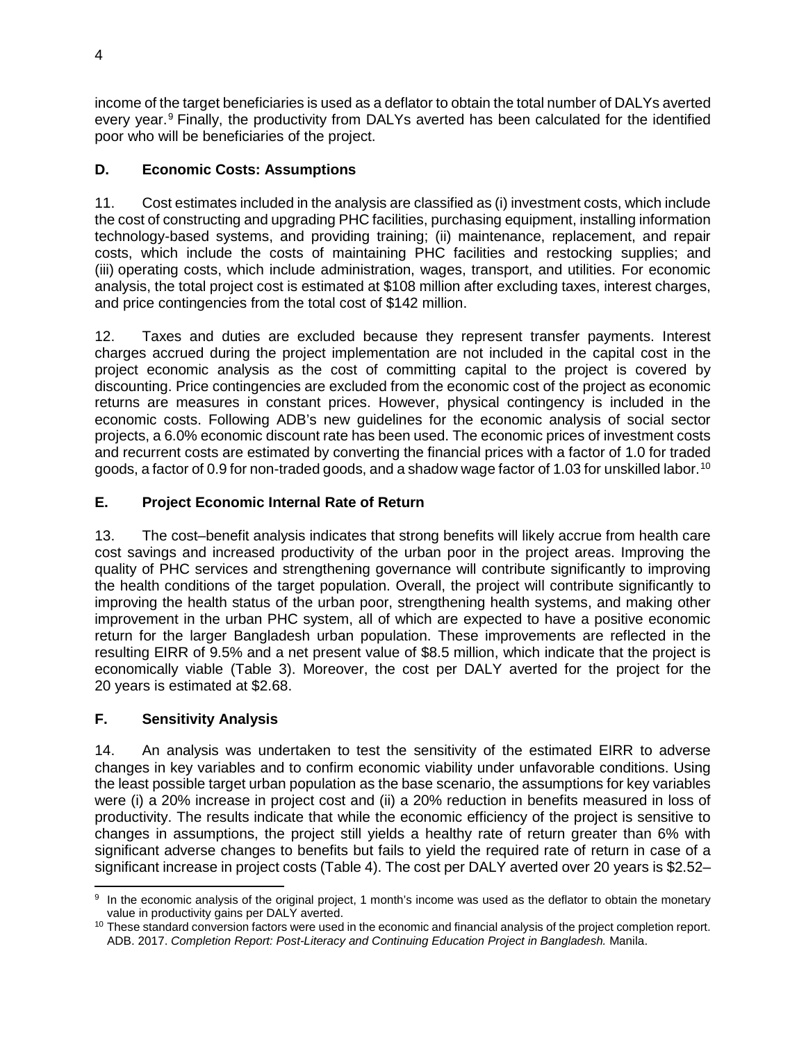income of the target beneficiaries is used as a deflator to obtain the total number of DALYs averted every year.<sup>[9](#page-3-0)</sup> Finally, the productivity from DALYs averted has been calculated for the identified poor who will be beneficiaries of the project.

# **D. Economic Costs: Assumptions**

11. Cost estimates included in the analysis are classified as (i) investment costs, which include the cost of constructing and upgrading PHC facilities, purchasing equipment, installing information technology-based systems, and providing training; (ii) maintenance, replacement, and repair costs, which include the costs of maintaining PHC facilities and restocking supplies; and (iii) operating costs, which include administration, wages, transport, and utilities. For economic analysis, the total project cost is estimated at \$108 million after excluding taxes, interest charges, and price contingencies from the total cost of \$142 million.

12. Taxes and duties are excluded because they represent transfer payments. Interest charges accrued during the project implementation are not included in the capital cost in the project economic analysis as the cost of committing capital to the project is covered by discounting. Price contingencies are excluded from the economic cost of the project as economic returns are measures in constant prices. However, physical contingency is included in the economic costs. Following ADB's new guidelines for the economic analysis of social sector projects, a 6.0% economic discount rate has been used. The economic prices of investment costs and recurrent costs are estimated by converting the financial prices with a factor of 1.0 for traded goods, a factor of 0.9 for non-traded goods, and a shadow wage factor of 1.03 for unskilled labor.<sup>[10](#page-3-1)</sup>

# **E. Project Economic Internal Rate of Return**

13. The cost–benefit analysis indicates that strong benefits will likely accrue from health care cost savings and increased productivity of the urban poor in the project areas. Improving the quality of PHC services and strengthening governance will contribute significantly to improving the health conditions of the target population. Overall, the project will contribute significantly to improving the health status of the urban poor, strengthening health systems, and making other improvement in the urban PHC system, all of which are expected to have a positive economic return for the larger Bangladesh urban population. These improvements are reflected in the resulting EIRR of 9.5% and a net present value of \$8.5 million, which indicate that the project is economically viable (Table 3). Moreover, the cost per DALY averted for the project for the 20 years is estimated at \$2.68.

# **F. Sensitivity Analysis**

14. An analysis was undertaken to test the sensitivity of the estimated EIRR to adverse changes in key variables and to confirm economic viability under unfavorable conditions. Using the least possible target urban population as the base scenario, the assumptions for key variables were (i) a 20% increase in project cost and (ii) a 20% reduction in benefits measured in loss of productivity. The results indicate that while the economic efficiency of the project is sensitive to changes in assumptions, the project still yields a healthy rate of return greater than 6% with significant adverse changes to benefits but fails to yield the required rate of return in case of a significant increase in project costs (Table 4). The cost per DALY averted over 20 years is \$2.52–

<span id="page-3-0"></span><sup>&</sup>lt;sup>9</sup> In the economic analysis of the original project, 1 month's income was used as the deflator to obtain the monetary

<span id="page-3-1"></span>value in productivity gains per DALY averted.<br><sup>10</sup> These standard conversion factors were used in the economic and financial analysis of the project completion report. ADB. 2017. *Completion Report: Post-Literacy and Continuing Education Project in Bangladesh.* Manila.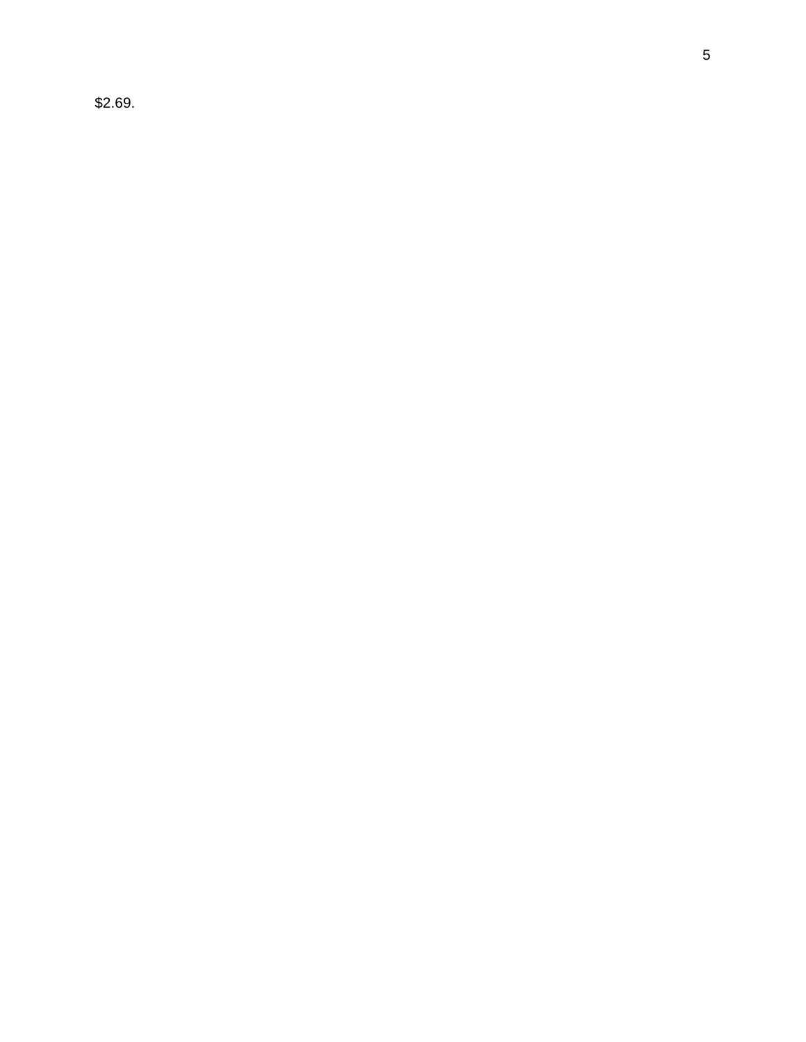\$2.69.